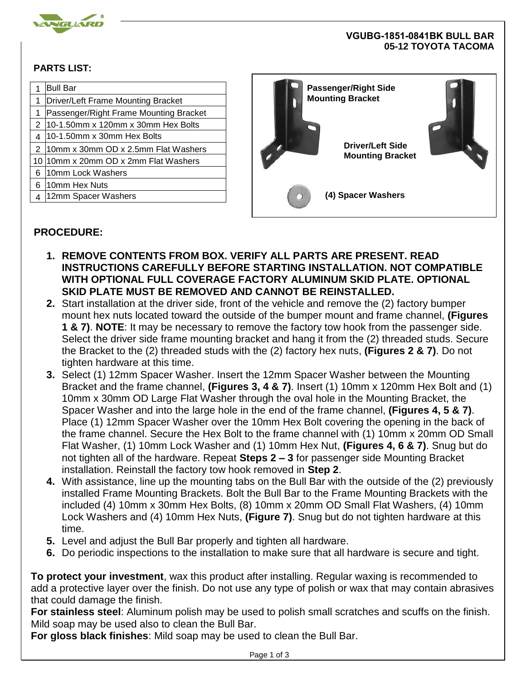

## **VGUBG-1851-0841BK BULL BAR 05-12 TOYOTA TACOMA**

## **PARTS LIST:**

|   | <b>Bull Bar</b>                         | <b>Passenger/Right Side</b> |  |
|---|-----------------------------------------|-----------------------------|--|
|   | Driver/Left Frame Mounting Bracket      | <b>Mounting Bracket</b>     |  |
|   | Passenger/Right Frame Mounting Bracket  |                             |  |
|   | $10-1.50$ mm x 120 mm x 30 mm Hex Bolts |                             |  |
|   | 10-1.50mm x 30mm Hex Bolts              |                             |  |
| 2 | 10mm x 30mm OD x 2.5mm Flat Washers     | <b>Driver/Left Side</b>     |  |
|   | 10 10 mm x 20 mm OD x 2mm Flat Washers  | <b>Mounting Bracket</b>     |  |
| 6 | 10mm Lock Washers                       |                             |  |
| 6 | 10mm Hex Nuts                           |                             |  |
|   | 12mm Spacer Washers                     | (4) Spacer Washers<br>О     |  |
|   |                                         |                             |  |

## **PROCEDURE:**

- **1. REMOVE CONTENTS FROM BOX. VERIFY ALL PARTS ARE PRESENT. READ INSTRUCTIONS CAREFULLY BEFORE STARTING INSTALLATION. NOT COMPATIBLE WITH OPTIONAL FULL COVERAGE FACTORY ALUMINUM SKID PLATE. OPTIONAL SKID PLATE MUST BE REMOVED AND CANNOT BE REINSTALLED.**
- **2.** Start installation at the driver side, front of the vehicle and remove the (2) factory bumper mount hex nuts located toward the outside of the bumper mount and frame channel, **(Figures 1 & 7)**. **NOTE**: It may be necessary to remove the factory tow hook from the passenger side. Select the driver side frame mounting bracket and hang it from the (2) threaded studs. Secure the Bracket to the (2) threaded studs with the (2) factory hex nuts, **(Figures 2 & 7)**. Do not tighten hardware at this time.
- **3.** Select (1) 12mm Spacer Washer. Insert the 12mm Spacer Washer between the Mounting Bracket and the frame channel, **(Figures 3, 4 & 7)**. Insert (1) 10mm x 120mm Hex Bolt and (1) 10mm x 30mm OD Large Flat Washer through the oval hole in the Mounting Bracket, the Spacer Washer and into the large hole in the end of the frame channel, **(Figures 4, 5 & 7)**. Place (1) 12mm Spacer Washer over the 10mm Hex Bolt covering the opening in the back of the frame channel. Secure the Hex Bolt to the frame channel with (1) 10mm x 20mm OD Small Flat Washer, (1) 10mm Lock Washer and (1) 10mm Hex Nut, **(Figures 4, 6 & 7)**. Snug but do not tighten all of the hardware. Repeat **Steps 2 – 3** for passenger side Mounting Bracket installation. Reinstall the factory tow hook removed in **Step 2**.
- **4.** With assistance, line up the mounting tabs on the Bull Bar with the outside of the (2) previously installed Frame Mounting Brackets. Bolt the Bull Bar to the Frame Mounting Brackets with the included (4) 10mm x 30mm Hex Bolts, (8) 10mm x 20mm OD Small Flat Washers, (4) 10mm Lock Washers and (4) 10mm Hex Nuts, **(Figure 7)**. Snug but do not tighten hardware at this time.
- **5.** Level and adjust the Bull Bar properly and tighten all hardware.
- **6.** Do periodic inspections to the installation to make sure that all hardware is secure and tight.

**To protect your investment**, wax this product after installing. Regular waxing is recommended to add a protective layer over the finish. Do not use any type of polish or wax that may contain abrasives that could damage the finish.

**For stainless steel**: Aluminum polish may be used to polish small scratches and scuffs on the finish. Mild soap may be used also to clean the Bull Bar.

**For gloss black finishes**: Mild soap may be used to clean the Bull Bar.

Page 1 of 3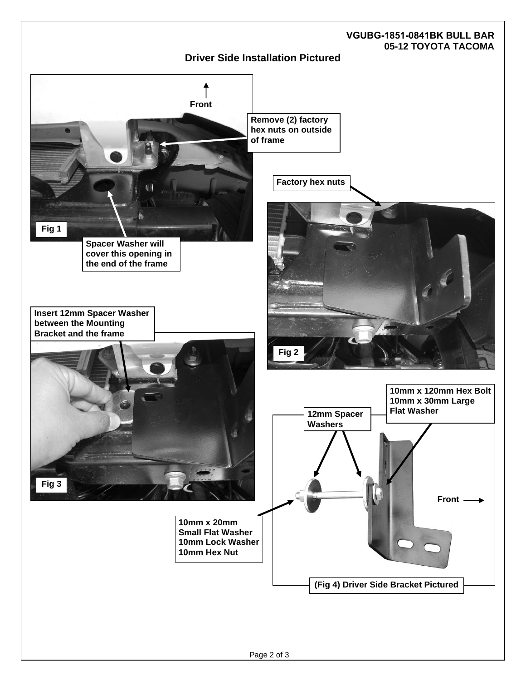